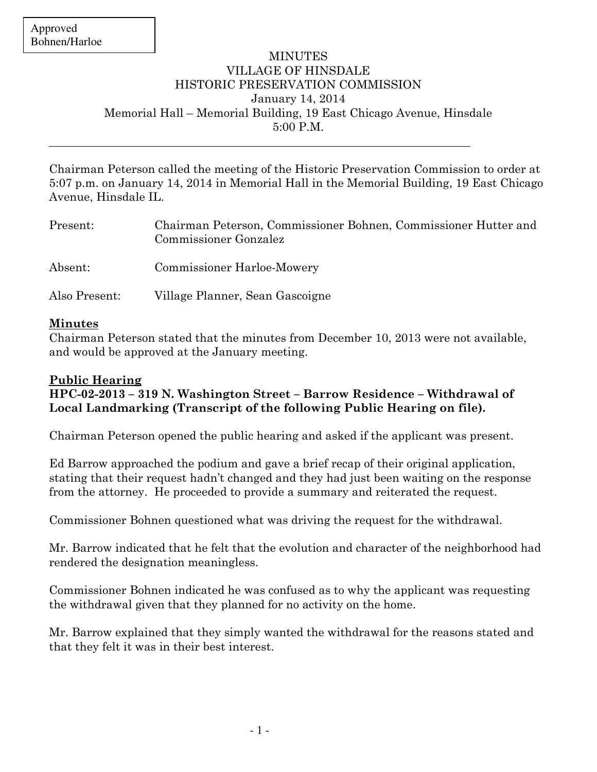## **MINUTES** VILLAGE OF HINSDALE HISTORIC PRESERVATION COMMISSION January 14, 2014 Memorial Hall – Memorial Building, 19 East Chicago Avenue, Hinsdale 5:00 P.M.

Chairman Peterson called the meeting of the Historic Preservation Commission to order at 5:07 p.m. on January 14, 2014 in Memorial Hall in the Memorial Building, 19 East Chicago Avenue, Hinsdale IL.

| Present:      | Chairman Peterson, Commissioner Bohnen, Commissioner Hutter and<br><b>Commissioner Gonzalez</b> |
|---------------|-------------------------------------------------------------------------------------------------|
| Absent:       | <b>Commissioner Harloe-Mowery</b>                                                               |
| Also Present: | Village Planner, Sean Gascoigne                                                                 |

#### **Minutes**

Chairman Peterson stated that the minutes from December 10, 2013 were not available, and would be approved at the January meeting.

## **Public Hearing**

**HPC-02-2013 – 319 N. Washington Street – Barrow Residence – Withdrawal of Local Landmarking (Transcript of the following Public Hearing on file).** 

Chairman Peterson opened the public hearing and asked if the applicant was present.

Ed Barrow approached the podium and gave a brief recap of their original application, stating that their request hadn't changed and they had just been waiting on the response from the attorney. He proceeded to provide a summary and reiterated the request.

Commissioner Bohnen questioned what was driving the request for the withdrawal.

Mr. Barrow indicated that he felt that the evolution and character of the neighborhood had rendered the designation meaningless.

Commissioner Bohnen indicated he was confused as to why the applicant was requesting the withdrawal given that they planned for no activity on the home.

Mr. Barrow explained that they simply wanted the withdrawal for the reasons stated and that they felt it was in their best interest.